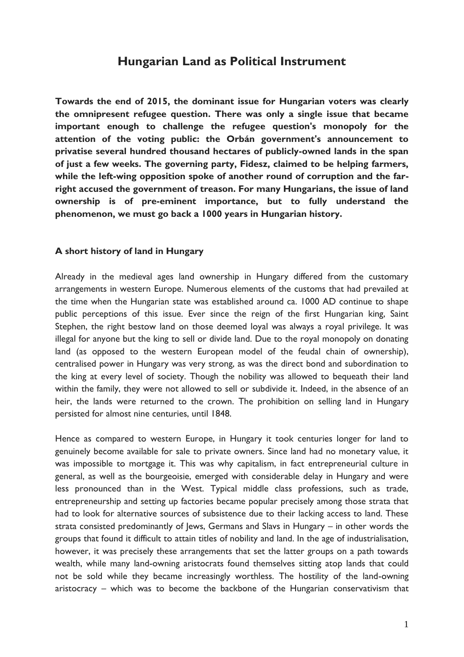# **Hungarian Land as Political Instrument**

**Towards the end of 2015, the dominant issue for Hungarian voters was clearly the omnipresent refugee question. There was only a single issue that became important enough to challenge the refugee question's monopoly for the attention of the voting public: the Orbán government's announcement to privatise several hundred thousand hectares of publicly-owned lands in the span of just a few weeks. The governing party, Fidesz, claimed to be helping farmers, while the left-wing opposition spoke of another round of corruption and the farright accused the government of treason. For many Hungarians, the issue of land ownership is of pre-eminent importance, but to fully understand the phenomenon, we must go back a 1000 years in Hungarian history.** 

#### **A short history of land in Hungary**

Already in the medieval ages land ownership in Hungary differed from the customary arrangements in western Europe. Numerous elements of the customs that had prevailed at the time when the Hungarian state was established around ca. 1000 AD continue to shape public perceptions of this issue. Ever since the reign of the first Hungarian king, Saint Stephen, the right bestow land on those deemed loyal was always a royal privilege. It was illegal for anyone but the king to sell or divide land. Due to the royal monopoly on donating land (as opposed to the western European model of the feudal chain of ownership), centralised power in Hungary was very strong, as was the direct bond and subordination to the king at every level of society. Though the nobility was allowed to bequeath their land within the family, they were not allowed to sell or subdivide it. Indeed, in the absence of an heir, the lands were returned to the crown. The prohibition on selling land in Hungary persisted for almost nine centuries, until 1848.

Hence as compared to western Europe, in Hungary it took centuries longer for land to genuinely become available for sale to private owners. Since land had no monetary value, it was impossible to mortgage it. This was why capitalism, in fact entrepreneurial culture in general, as well as the bourgeoisie, emerged with considerable delay in Hungary and were less pronounced than in the West. Typical middle class professions, such as trade, entrepreneurship and setting up factories became popular precisely among those strata that had to look for alternative sources of subsistence due to their lacking access to land. These strata consisted predominantly of Jews, Germans and Slavs in Hungary – in other words the groups that found it difficult to attain titles of nobility and land. In the age of industrialisation, however, it was precisely these arrangements that set the latter groups on a path towards wealth, while many land-owning aristocrats found themselves sitting atop lands that could not be sold while they became increasingly worthless. The hostility of the land-owning aristocracy – which was to become the backbone of the Hungarian conservativism that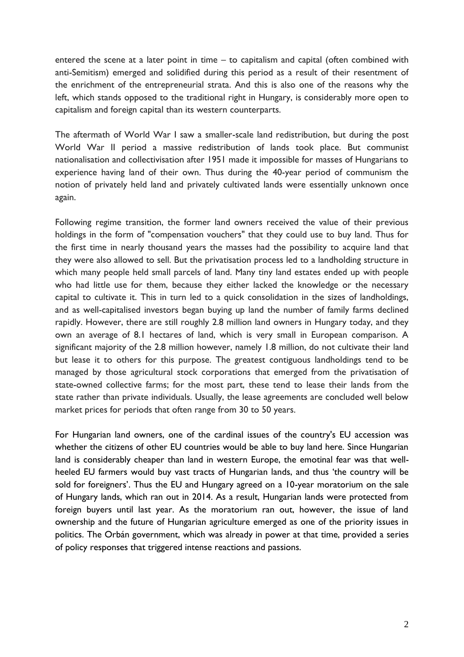entered the scene at a later point in time – to capitalism and capital (often combined with anti-Semitism) emerged and solidified during this period as a result of their resentment of the enrichment of the entrepreneurial strata. And this is also one of the reasons why the left, which stands opposed to the traditional right in Hungary, is considerably more open to capitalism and foreign capital than its western counterparts.

The aftermath of World War I saw a smaller-scale land redistribution, but during the post World War II period a massive redistribution of lands took place. But communist nationalisation and collectivisation after 1951 made it impossible for masses of Hungarians to experience having land of their own. Thus during the 40-year period of communism the notion of privately held land and privately cultivated lands were essentially unknown once again.

Following regime transition, the former land owners received the value of their previous holdings in the form of "compensation vouchers" that they could use to buy land. Thus for the first time in nearly thousand years the masses had the possibility to acquire land that they were also allowed to sell. But the privatisation process led to a landholding structure in which many people held small parcels of land. Many tiny land estates ended up with people who had little use for them, because they either lacked the knowledge or the necessary capital to cultivate it. This in turn led to a quick consolidation in the sizes of landholdings, and as well-capitalised investors began buying up land the number of family farms declined rapidly. However, there are still roughly 2.8 million land owners in Hungary today, and they own an average of 8.1 hectares of land, which is very small in European comparison. A significant majority of the 2.8 million however, namely 1.8 million, do not cultivate their land but lease it to others for this purpose. The greatest contiguous landholdings tend to be managed by those agricultural stock corporations that emerged from the privatisation of state-owned collective farms; for the most part, these tend to lease their lands from the state rather than private individuals. Usually, the lease agreements are concluded well below market prices for periods that often range from 30 to 50 years.

For Hungarian land owners, one of the cardinal issues of the country's EU accession was whether the citizens of other EU countries would be able to buy land here. Since Hungarian land is considerably cheaper than land in western Europe, the emotinal fear was that wellheeled EU farmers would buy vast tracts of Hungarian lands, and thus 'the country will be sold for foreigners'. Thus the EU and Hungary agreed on a 10-year moratorium on the sale of Hungary lands, which ran out in 2014. As a result, Hungarian lands were protected from foreign buyers until last year. As the moratorium ran out, however, the issue of land ownership and the future of Hungarian agriculture emerged as one of the priority issues in politics. The Orbán government, which was already in power at that time, provided a series of policy responses that triggered intense reactions and passions.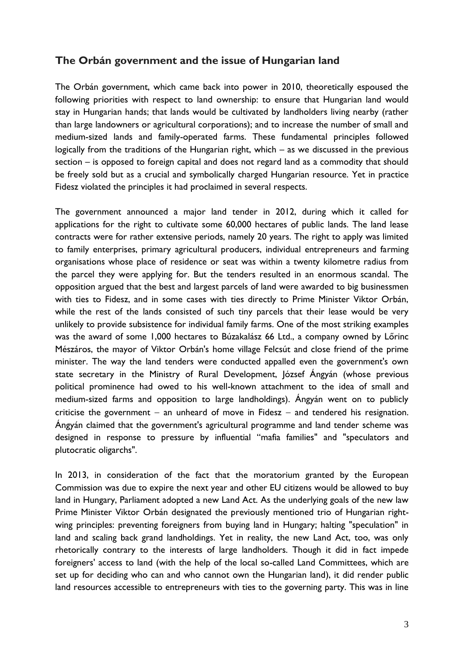### **The Orbán government and the issue of Hungarian land**

The Orbán government, which came back into power in 2010, theoretically espoused the following priorities with respect to land ownership: to ensure that Hungarian land would stay in Hungarian hands; that lands would be cultivated by landholders living nearby (rather than large landowners or agricultural corporations); and to increase the number of small and medium-sized lands and family-operated farms. These fundamental principles followed logically from the traditions of the Hungarian right, which – as we discussed in the previous section – is opposed to foreign capital and does not regard land as a commodity that should be freely sold but as a crucial and symbolically charged Hungarian resource. Yet in practice Fidesz violated the principles it had proclaimed in several respects.

The government announced a major land tender in 2012, during which it called for applications for the right to cultivate some 60,000 hectares of public lands. The land lease contracts were for rather extensive periods, namely 20 years. The right to apply was limited to family enterprises, primary agricultural producers, individual entrepreneurs and farming organisations whose place of residence or seat was within a twenty kilometre radius from the parcel they were applying for. But the tenders resulted in an enormous scandal. The opposition argued that the best and largest parcels of land were awarded to big businessmen with ties to Fidesz, and in some cases with ties directly to Prime Minister Viktor Orbán, while the rest of the lands consisted of such tiny parcels that their lease would be very unlikely to provide subsistence for individual family farms. One of the most striking examples was the award of some 1,000 hectares to Búzakalász 66 Ltd., a company owned by Lőrinc Mészáros, the mayor of Viktor Orbán's home village Felcsút and close friend of the prime minister. The way the land tenders were conducted appalled even the government's own state secretary in the Ministry of Rural Development, József Ángyán (whose previous political prominence had owed to his well-known attachment to the idea of small and medium-sized farms and opposition to large landholdings). Ángyán went on to publicly criticise the government  $-$  an unheard of move in Fidesz  $-$  and tendered his resignation. Ángyán claimed that the government's agricultural programme and land tender scheme was designed in response to pressure by influential "mafia families" and "speculators and plutocratic oligarchs".

In 2013, in consideration of the fact that the moratorium granted by the European Commission was due to expire the next year and other EU citizens would be allowed to buy land in Hungary, Parliament adopted a new Land Act. As the underlying goals of the new law Prime Minister Viktor Orbán designated the previously mentioned trio of Hungarian rightwing principles: preventing foreigners from buying land in Hungary; halting "speculation" in land and scaling back grand landholdings. Yet in reality, the new Land Act, too, was only rhetorically contrary to the interests of large landholders. Though it did in fact impede foreigners' access to land (with the help of the local so-called Land Committees, which are set up for deciding who can and who cannot own the Hungarian land), it did render public land resources accessible to entrepreneurs with ties to the governing party. This was in line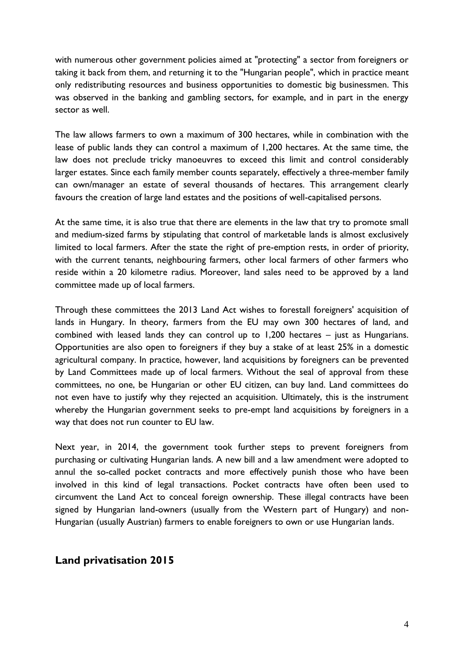with numerous other government policies aimed at "protecting" a sector from foreigners or taking it back from them, and returning it to the "Hungarian people", which in practice meant only redistributing resources and business opportunities to domestic big businessmen. This was observed in the banking and gambling sectors, for example, and in part in the energy sector as well.

The law allows farmers to own a maximum of 300 hectares, while in combination with the lease of public lands they can control a maximum of 1,200 hectares. At the same time, the law does not preclude tricky manoeuvres to exceed this limit and control considerably larger estates. Since each family member counts separately, effectively a three-member family can own/manager an estate of several thousands of hectares. This arrangement clearly favours the creation of large land estates and the positions of well-capitalised persons.

At the same time, it is also true that there are elements in the law that try to promote small and medium-sized farms by stipulating that control of marketable lands is almost exclusively limited to local farmers. After the state the right of pre-emption rests, in order of priority, with the current tenants, neighbouring farmers, other local farmers of other farmers who reside within a 20 kilometre radius. Moreover, land sales need to be approved by a land committee made up of local farmers.

Through these committees the 2013 Land Act wishes to forestall foreigners' acquisition of lands in Hungary. In theory, farmers from the EU may own 300 hectares of land, and combined with leased lands they can control up to 1,200 hectares – just as Hungarians. Opportunities are also open to foreigners if they buy a stake of at least 25% in a domestic agricultural company. In practice, however, land acquisitions by foreigners can be prevented by Land Committees made up of local farmers. Without the seal of approval from these committees, no one, be Hungarian or other EU citizen, can buy land. Land committees do not even have to justify why they rejected an acquisition. Ultimately, this is the instrument whereby the Hungarian government seeks to pre-empt land acquisitions by foreigners in a way that does not run counter to EU law.

Next year, in 2014, the government took further steps to prevent foreigners from purchasing or cultivating Hungarian lands. A new bill and a law amendment were adopted to annul the so-called pocket contracts and more effectively punish those who have been involved in this kind of legal transactions. Pocket contracts have often been used to circumvent the Land Act to conceal foreign ownership. These illegal contracts have been signed by Hungarian land-owners (usually from the Western part of Hungary) and non-Hungarian (usually Austrian) farmers to enable foreigners to own or use Hungarian lands.

### **Land privatisation 2015**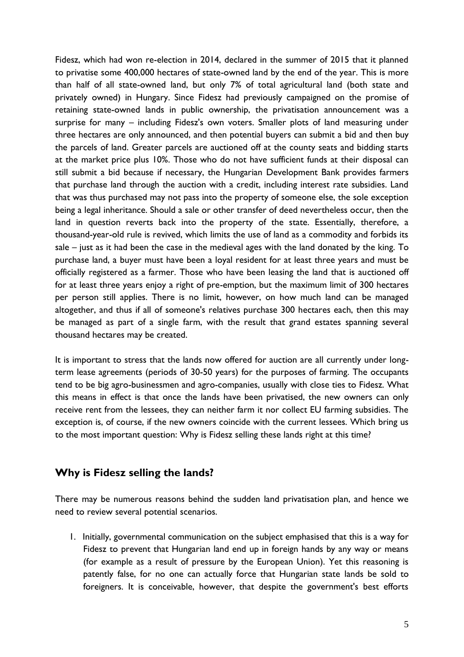Fidesz, which had won re-election in 2014, declared in the summer of 2015 that it planned to privatise some 400,000 hectares of state-owned land by the end of the year. This is more than half of all state-owned land, but only 7% of total agricultural land (both state and privately owned) in Hungary. Since Fidesz had previously campaigned on the promise of retaining state-owned lands in public ownership, the privatisation announcement was a surprise for many – including Fidesz's own voters. Smaller plots of land measuring under three hectares are only announced, and then potential buyers can submit a bid and then buy the parcels of land. Greater parcels are auctioned off at the county seats and bidding starts at the market price plus 10%. Those who do not have sufficient funds at their disposal can still submit a bid because if necessary, the Hungarian Development Bank provides farmers that purchase land through the auction with a credit, including interest rate subsidies. Land that was thus purchased may not pass into the property of someone else, the sole exception being a legal inheritance. Should a sale or other transfer of deed nevertheless occur, then the land in question reverts back into the property of the state. Essentially, therefore, a thousand-year-old rule is revived, which limits the use of land as a commodity and forbids its sale – just as it had been the case in the medieval ages with the land donated by the king. To purchase land, a buyer must have been a loyal resident for at least three years and must be officially registered as a farmer. Those who have been leasing the land that is auctioned off for at least three years enjoy a right of pre-emption, but the maximum limit of 300 hectares per person still applies. There is no limit, however, on how much land can be managed altogether, and thus if all of someone's relatives purchase 300 hectares each, then this may be managed as part of a single farm, with the result that grand estates spanning several thousand hectares may be created.

It is important to stress that the lands now offered for auction are all currently under longterm lease agreements (periods of 30-50 years) for the purposes of farming. The occupants tend to be big agro-businessmen and agro-companies, usually with close ties to Fidesz. What this means in effect is that once the lands have been privatised, the new owners can only receive rent from the lessees, they can neither farm it nor collect EU farming subsidies. The exception is, of course, if the new owners coincide with the current lessees. Which bring us to the most important question: Why is Fidesz selling these lands right at this time?

### **Why is Fidesz selling the lands?**

There may be numerous reasons behind the sudden land privatisation plan, and hence we need to review several potential scenarios.

1. Initially, governmental communication on the subject emphasised that this is a way for Fidesz to prevent that Hungarian land end up in foreign hands by any way or means (for example as a result of pressure by the European Union). Yet this reasoning is patently false, for no one can actually force that Hungarian state lands be sold to foreigners. It is conceivable, however, that despite the government's best efforts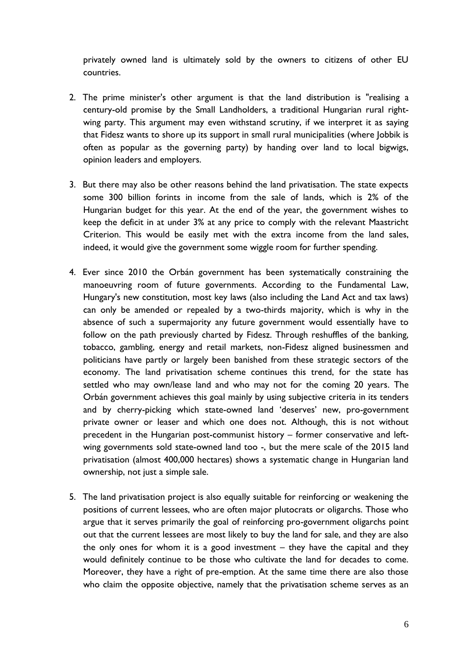privately owned land is ultimately sold by the owners to citizens of other EU countries.

- 2. The prime minister's other argument is that the land distribution is "realising a century-old promise by the Small Landholders, a traditional Hungarian rural rightwing party. This argument may even withstand scrutiny, if we interpret it as saying that Fidesz wants to shore up its support in small rural municipalities (where Jobbik is often as popular as the governing party) by handing over land to local bigwigs, opinion leaders and employers.
- 3. But there may also be other reasons behind the land privatisation. The state expects some 300 billion forints in income from the sale of lands, which is 2% of the Hungarian budget for this year. At the end of the year, the government wishes to keep the deficit in at under 3% at any price to comply with the relevant Maastricht Criterion. This would be easily met with the extra income from the land sales, indeed, it would give the government some wiggle room for further spending.
- 4. Ever since 2010 the Orbán government has been systematically constraining the manoeuvring room of future governments. According to the Fundamental Law, Hungary's new constitution, most key laws (also including the Land Act and tax laws) can only be amended or repealed by a two-thirds majority, which is why in the absence of such a supermajority any future government would essentially have to follow on the path previously charted by Fidesz. Through reshuffles of the banking, tobacco, gambling, energy and retail markets, non-Fidesz aligned businessmen and politicians have partly or largely been banished from these strategic sectors of the economy. The land privatisation scheme continues this trend, for the state has settled who may own/lease land and who may not for the coming 20 years. The Orbán government achieves this goal mainly by using subjective criteria in its tenders and by cherry-picking which state-owned land 'deserves' new, pro-government private owner or leaser and which one does not. Although, this is not without precedent in the Hungarian post-communist history – former conservative and leftwing governments sold state-owned land too -, but the mere scale of the 2015 land privatisation (almost 400,000 hectares) shows a systematic change in Hungarian land ownership, not just a simple sale.
- 5. The land privatisation project is also equally suitable for reinforcing or weakening the positions of current lessees, who are often major plutocrats or oligarchs. Those who argue that it serves primarily the goal of reinforcing pro-government oligarchs point out that the current lessees are most likely to buy the land for sale, and they are also the only ones for whom it is a good investment – they have the capital and they would definitely continue to be those who cultivate the land for decades to come. Moreover, they have a right of pre-emption. At the same time there are also those who claim the opposite objective, namely that the privatisation scheme serves as an